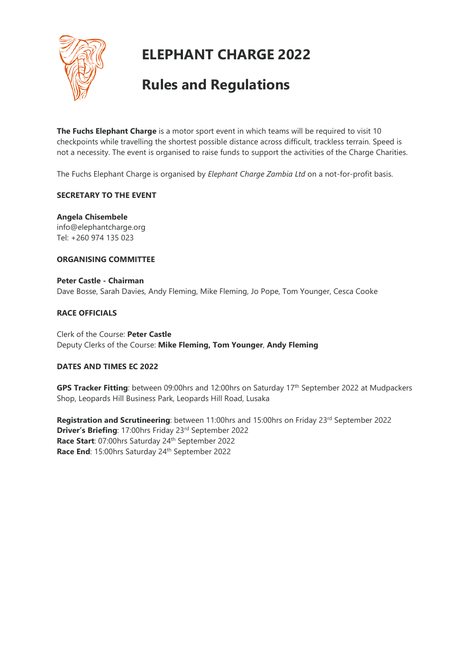

# **ELEPHANT CHARGE 2022**

# **Rules and Regulations**

**The Fuchs Elephant Charge** is a motor sport event in which teams will be required to visit 10 checkpoints while travelling the shortest possible distance across difficult, trackless terrain. Speed is not a necessity. The event is organised to raise funds to support the activities of the Charge Charities.

The Fuchs Elephant Charge is organised by *Elephant Charge Zambia Ltd* on a not-for-profit basis.

# **SECRETARY TO THE EVENT**

**Angela Chisembele** info@elephantcharge.org Tel: +260 974 135 023

# **ORGANISING COMMITTEE**

**Peter Castle - Chairman** Dave Bosse, Sarah Davies, Andy Fleming, Mike Fleming, Jo Pope, Tom Younger, Cesca Cooke

# **RACE OFFICIALS**

Clerk of the Course: **Peter Castle** Deputy Clerks of the Course: **Mike Fleming, Tom Younger**, **Andy Fleming**

# **DATES AND TIMES EC 2022**

GPS Tracker Fitting: between 09:00hrs and 12:00hrs on Saturday 17<sup>th</sup> September 2022 at Mudpackers Shop, Leopards Hill Business Park, Leopards Hill Road, Lusaka

**Registration and Scrutineering**: between 11:00hrs and 15:00hrs on Friday 23<sup>rd</sup> September 2022 **Driver's Briefing**: 17:00hrs Friday 23rd September 2022 Race Start: 07:00hrs Saturday 24<sup>th</sup> September 2022 Race End: 15:00hrs Saturday 24<sup>th</sup> September 2022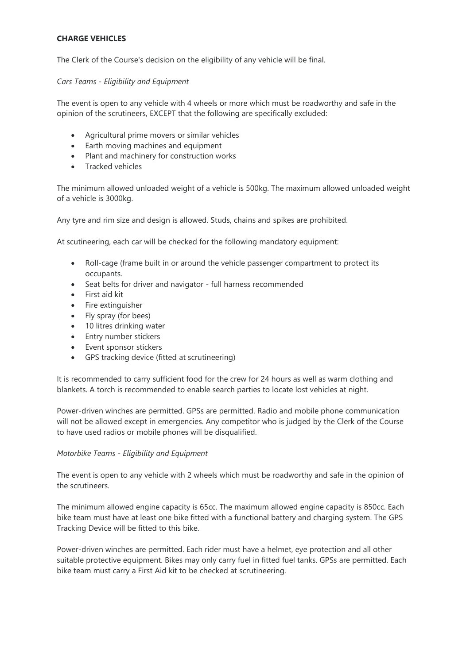# **CHARGE VEHICLES**

The Clerk of the Course's decision on the eligibility of any vehicle will be final.

*Cars Teams - Eligibility and Equipment*

The event is open to any vehicle with 4 wheels or more which must be roadworthy and safe in the opinion of the scrutineers, EXCEPT that the following are specifically excluded:

- Agricultural prime movers or similar vehicles
- Earth moving machines and equipment
- Plant and machinery for construction works
- Tracked vehicles

The minimum allowed unloaded weight of a vehicle is 500kg. The maximum allowed unloaded weight of a vehicle is 3000kg.

Any tyre and rim size and design is allowed. Studs, chains and spikes are prohibited.

At scutineering, each car will be checked for the following mandatory equipment:

- Roll-cage (frame built in or around the vehicle passenger compartment to protect its occupants.
- Seat belts for driver and navigator full harness recommended
- First aid kit
- Fire extinguisher
- Fly spray (for bees)
- 10 litres drinking water
- Entry number stickers
- Event sponsor stickers
- GPS tracking device (fitted at scrutineering)

It is recommended to carry sufficient food for the crew for 24 hours as well as warm clothing and blankets. A torch is recommended to enable search parties to locate lost vehicles at night.

Power-driven winches are permitted. GPSs are permitted. Radio and mobile phone communication will not be allowed except in emergencies. Any competitor who is judged by the Clerk of the Course to have used radios or mobile phones will be disqualified.

## *Motorbike Teams - Eligibility and Equipment*

The event is open to any vehicle with 2 wheels which must be roadworthy and safe in the opinion of the scrutineers.

The minimum allowed engine capacity is 65cc. The maximum allowed engine capacity is 850cc. Each bike team must have at least one bike fitted with a functional battery and charging system. The GPS Tracking Device will be fitted to this bike.

Power-driven winches are permitted. Each rider must have a helmet, eye protection and all other suitable protective equipment. Bikes may only carry fuel in fitted fuel tanks. GPSs are permitted. Each bike team must carry a First Aid kit to be checked at scrutineering.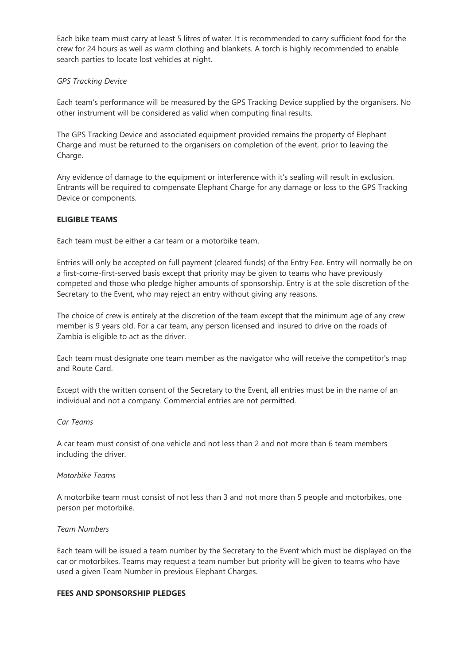Each bike team must carry at least 5 litres of water. It is recommended to carry sufficient food for the crew for 24 hours as well as warm clothing and blankets. A torch is highly recommended to enable search parties to locate lost vehicles at night.

## *GPS Tracking Device*

Each team's performance will be measured by the GPS Tracking Device supplied by the organisers. No other instrument will be considered as valid when computing final results.

The GPS Tracking Device and associated equipment provided remains the property of Elephant Charge and must be returned to the organisers on completion of the event, prior to leaving the Charge.

Any evidence of damage to the equipment or interference with it's sealing will result in exclusion. Entrants will be required to compensate Elephant Charge for any damage or loss to the GPS Tracking Device or components.

## **ELIGIBLE TEAMS**

Each team must be either a car team or a motorbike team.

Entries will only be accepted on full payment (cleared funds) of the Entry Fee. Entry will normally be on a first-come-first-served basis except that priority may be given to teams who have previously competed and those who pledge higher amounts of sponsorship. Entry is at the sole discretion of the Secretary to the Event, who may reject an entry without giving any reasons.

The choice of crew is entirely at the discretion of the team except that the minimum age of any crew member is 9 years old. For a car team, any person licensed and insured to drive on the roads of Zambia is eligible to act as the driver.

Each team must designate one team member as the navigator who will receive the competitor's map and Route Card.

Except with the written consent of the Secretary to the Event, all entries must be in the name of an individual and not a company. Commercial entries are not permitted.

#### *Car Teams*

A car team must consist of one vehicle and not less than 2 and not more than 6 team members including the driver.

#### *Motorbike Teams*

A motorbike team must consist of not less than 3 and not more than 5 people and motorbikes, one person per motorbike.

#### *Team Numbers*

Each team will be issued a team number by the Secretary to the Event which must be displayed on the car or motorbikes. Teams may request a team number but priority will be given to teams who have used a given Team Number in previous Elephant Charges.

#### **FEES AND SPONSORSHIP PLEDGES**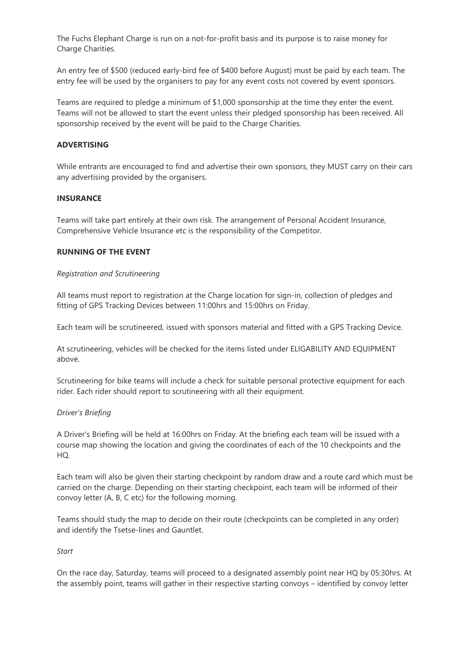The Fuchs Elephant Charge is run on a not-for-profit basis and its purpose is to raise money for Charge Charities.

An entry fee of \$500 (reduced early-bird fee of \$400 before August) must be paid by each team. The entry fee will be used by the organisers to pay for any event costs not covered by event sponsors.

Teams are required to pledge a minimum of \$1,000 sponsorship at the time they enter the event. Teams will not be allowed to start the event unless their pledged sponsorship has been received. All sponsorship received by the event will be paid to the Charge Charities.

## **ADVERTISING**

While entrants are encouraged to find and advertise their own sponsors, they MUST carry on their cars any advertising provided by the organisers.

### **INSURANCE**

Teams will take part entirely at their own risk. The arrangement of Personal Accident Insurance, Comprehensive Vehicle Insurance etc is the responsibility of the Competitor.

### **RUNNING OF THE EVENT**

### *Registration and Scrutineering*

All teams must report to registration at the Charge location for sign-in, collection of pledges and fitting of GPS Tracking Devices between 11:00hrs and 15:00hrs on Friday.

Each team will be scrutineered, issued with sponsors material and fitted with a GPS Tracking Device.

At scrutineering, vehicles will be checked for the items listed under ELIGABILITY AND EQUIPMENT above.

Scrutineering for bike teams will include a check for suitable personal protective equipment for each rider. Each rider should report to scrutineering with all their equipment.

## *Driver's Briefing*

A Driver's Briefing will be held at 16:00hrs on Friday. At the briefing each team will be issued with a course map showing the location and giving the coordinates of each of the 10 checkpoints and the HQ.

Each team will also be given their starting checkpoint by random draw and a route card which must be carried on the charge. Depending on their starting checkpoint, each team will be informed of their convoy letter (A, B, C etc) for the following morning.

Teams should study the map to decide on their route (checkpoints can be completed in any order) and identify the Tsetse-lines and Gauntlet.

#### *Start*

On the race day, Saturday, teams will proceed to a designated assembly point near HQ by 05:30hrs. At the assembly point, teams will gather in their respective starting convoys – identified by convoy letter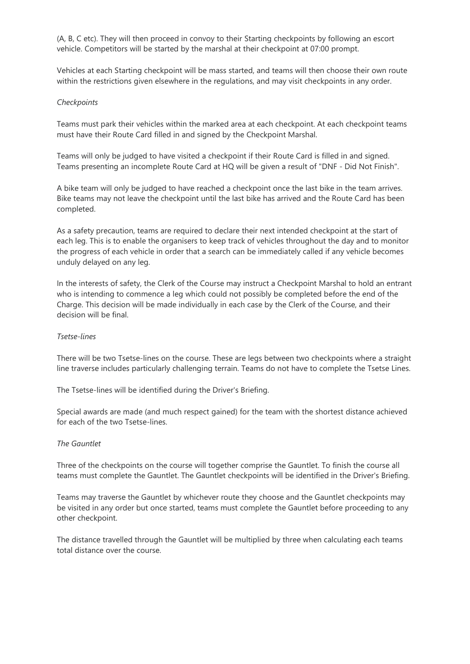(A, B, C etc). They will then proceed in convoy to their Starting checkpoints by following an escort vehicle. Competitors will be started by the marshal at their checkpoint at 07:00 prompt.

Vehicles at each Starting checkpoint will be mass started, and teams will then choose their own route within the restrictions given elsewhere in the regulations, and may visit checkpoints in any order.

## *Checkpoints*

Teams must park their vehicles within the marked area at each checkpoint. At each checkpoint teams must have their Route Card filled in and signed by the Checkpoint Marshal.

Teams will only be judged to have visited a checkpoint if their Route Card is filled in and signed. Teams presenting an incomplete Route Card at HQ will be given a result of "DNF - Did Not Finish".

A bike team will only be judged to have reached a checkpoint once the last bike in the team arrives. Bike teams may not leave the checkpoint until the last bike has arrived and the Route Card has been completed.

As a safety precaution, teams are required to declare their next intended checkpoint at the start of each leg. This is to enable the organisers to keep track of vehicles throughout the day and to monitor the progress of each vehicle in order that a search can be immediately called if any vehicle becomes unduly delayed on any leg.

In the interests of safety, the Clerk of the Course may instruct a Checkpoint Marshal to hold an entrant who is intending to commence a leg which could not possibly be completed before the end of the Charge. This decision will be made individually in each case by the Clerk of the Course, and their decision will be final.

## *Tsetse-lines*

There will be two Tsetse-lines on the course. These are legs between two checkpoints where a straight line traverse includes particularly challenging terrain. Teams do not have to complete the Tsetse Lines.

The Tsetse-lines will be identified during the Driver's Briefing.

Special awards are made (and much respect gained) for the team with the shortest distance achieved for each of the two Tsetse-lines.

#### *The Gauntlet*

Three of the checkpoints on the course will together comprise the Gauntlet. To finish the course all teams must complete the Gauntlet. The Gauntlet checkpoints will be identified in the Driver's Briefing.

Teams may traverse the Gauntlet by whichever route they choose and the Gauntlet checkpoints may be visited in any order but once started, teams must complete the Gauntlet before proceeding to any other checkpoint.

The distance travelled through the Gauntlet will be multiplied by three when calculating each teams total distance over the course.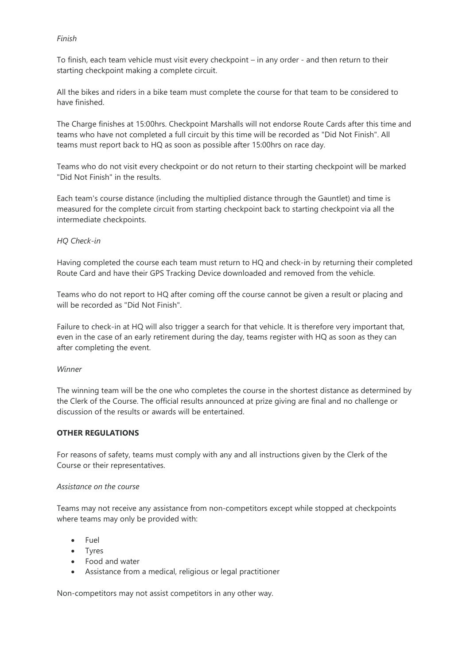## *Finish*

To finish, each team vehicle must visit every checkpoint – in any order - and then return to their starting checkpoint making a complete circuit.

All the bikes and riders in a bike team must complete the course for that team to be considered to have finished.

The Charge finishes at 15:00hrs. Checkpoint Marshalls will not endorse Route Cards after this time and teams who have not completed a full circuit by this time will be recorded as "Did Not Finish". All teams must report back to HQ as soon as possible after 15:00hrs on race day.

Teams who do not visit every checkpoint or do not return to their starting checkpoint will be marked "Did Not Finish" in the results.

Each team's course distance (including the multiplied distance through the Gauntlet) and time is measured for the complete circuit from starting checkpoint back to starting checkpoint via all the intermediate checkpoints.

# *HQ Check-in*

Having completed the course each team must return to HQ and check-in by returning their completed Route Card and have their GPS Tracking Device downloaded and removed from the vehicle.

Teams who do not report to HQ after coming off the course cannot be given a result or placing and will be recorded as "Did Not Finish".

Failure to check-in at HQ will also trigger a search for that vehicle. It is therefore very important that, even in the case of an early retirement during the day, teams register with HQ as soon as they can after completing the event.

## *Winner*

The winning team will be the one who completes the course in the shortest distance as determined by the Clerk of the Course. The official results announced at prize giving are final and no challenge or discussion of the results or awards will be entertained.

# **OTHER REGULATIONS**

For reasons of safety, teams must comply with any and all instructions given by the Clerk of the Course or their representatives.

## *Assistance on the course*

Teams may not receive any assistance from non-competitors except while stopped at checkpoints where teams may only be provided with:

- Fuel
- Tyres
- Food and water
- Assistance from a medical, religious or legal practitioner

Non-competitors may not assist competitors in any other way.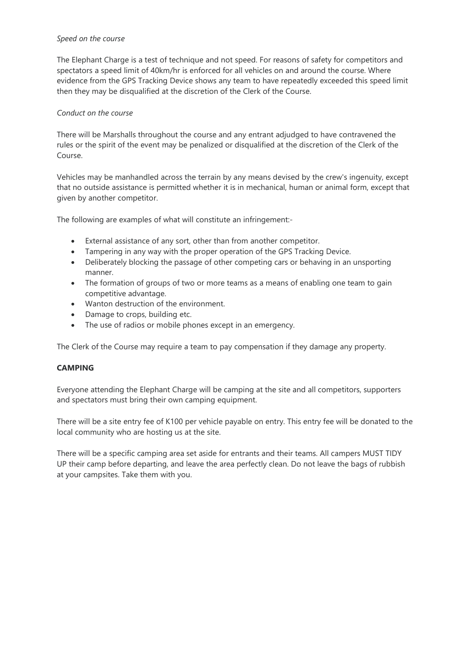## *Speed on the course*

The Elephant Charge is a test of technique and not speed. For reasons of safety for competitors and spectators a speed limit of 40km/hr is enforced for all vehicles on and around the course. Where evidence from the GPS Tracking Device shows any team to have repeatedly exceeded this speed limit then they may be disqualified at the discretion of the Clerk of the Course.

## *Conduct on the course*

There will be Marshalls throughout the course and any entrant adjudged to have contravened the rules or the spirit of the event may be penalized or disqualified at the discretion of the Clerk of the Course.

Vehicles may be manhandled across the terrain by any means devised by the crew's ingenuity, except that no outside assistance is permitted whether it is in mechanical, human or animal form, except that given by another competitor.

The following are examples of what will constitute an infringement:-

- External assistance of any sort, other than from another competitor.
- Tampering in any way with the proper operation of the GPS Tracking Device.
- Deliberately blocking the passage of other competing cars or behaving in an unsporting manner.
- The formation of groups of two or more teams as a means of enabling one team to gain competitive advantage.
- Wanton destruction of the environment.
- Damage to crops, building etc.
- The use of radios or mobile phones except in an emergency.

The Clerk of the Course may require a team to pay compensation if they damage any property.

## **CAMPING**

Everyone attending the Elephant Charge will be camping at the site and all competitors, supporters and spectators must bring their own camping equipment.

There will be a site entry fee of K100 per vehicle payable on entry. This entry fee will be donated to the local community who are hosting us at the site.

There will be a specific camping area set aside for entrants and their teams. All campers MUST TIDY UP their camp before departing, and leave the area perfectly clean. Do not leave the bags of rubbish at your campsites. Take them with you.